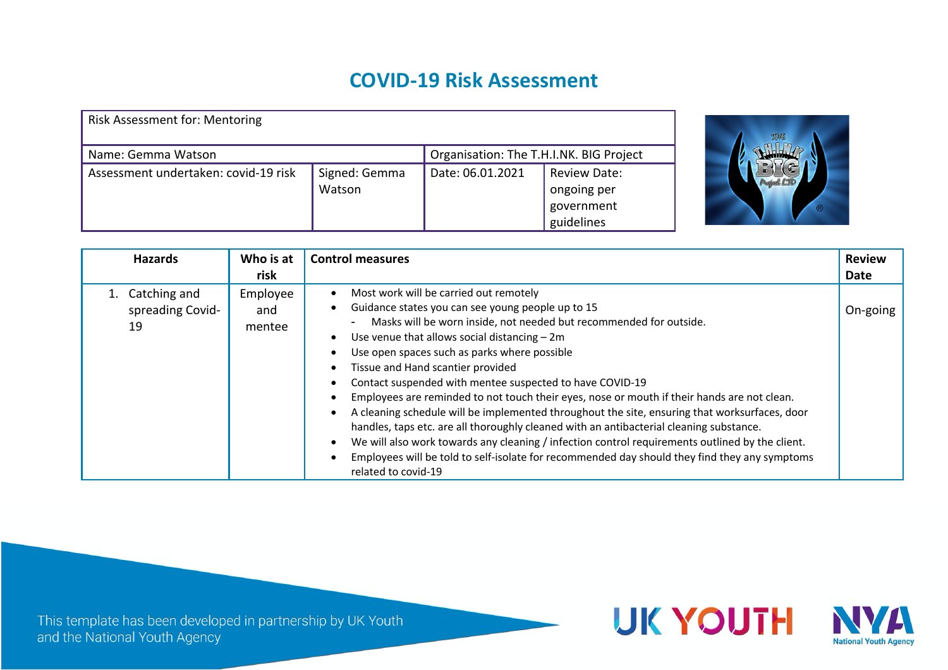## **COVID-19 Risk Assessment**

| <b>Risk Assessment for: Mentoring</b> |                         |                                         |                                                         |
|---------------------------------------|-------------------------|-----------------------------------------|---------------------------------------------------------|
| Name: Gemma Watson                    |                         | Organisation: The T.H.I.NK. BIG Project |                                                         |
| Assessment undertaken: covid-19 risk  | Signed: Gemma<br>Watson | Date: 06.01.2021                        | Review Date:<br>ongoing per<br>government<br>guidelines |



| <b>Hazards</b>                            | Who is at                 | <b>Control measures</b>                                                                                                                                                                                                                                                                                                                                                                                                                                                                                                                                                                                                                                                                                                                                                                                                                                                                   | <b>Review</b> |
|-------------------------------------------|---------------------------|-------------------------------------------------------------------------------------------------------------------------------------------------------------------------------------------------------------------------------------------------------------------------------------------------------------------------------------------------------------------------------------------------------------------------------------------------------------------------------------------------------------------------------------------------------------------------------------------------------------------------------------------------------------------------------------------------------------------------------------------------------------------------------------------------------------------------------------------------------------------------------------------|---------------|
|                                           | risk                      |                                                                                                                                                                                                                                                                                                                                                                                                                                                                                                                                                                                                                                                                                                                                                                                                                                                                                           | Date          |
| 1. Catching and<br>spreading Covid-<br>19 | Employee<br>and<br>mentee | Most work will be carried out remotely<br>Guidance states you can see young people up to 15<br>Masks will be worn inside, not needed but recommended for outside.<br>Use venue that allows social distancing $-2m$<br>Use open spaces such as parks where possible<br>Tissue and Hand scantier provided<br>Contact suspended with mentee suspected to have COVID-19<br>Employees are reminded to not touch their eyes, nose or mouth if their hands are not clean.<br>A cleaning schedule will be implemented throughout the site, ensuring that worksurfaces, door<br>handles, taps etc. are all thoroughly cleaned with an antibacterial cleaning substance.<br>We will also work towards any cleaning / infection control requirements outlined by the client.<br>Employees will be told to self-isolate for recommended day should they find they any symptoms<br>related to covid-19 | On-going      |

This template has been developed in partnership by UK Youth and the National Youth Agency

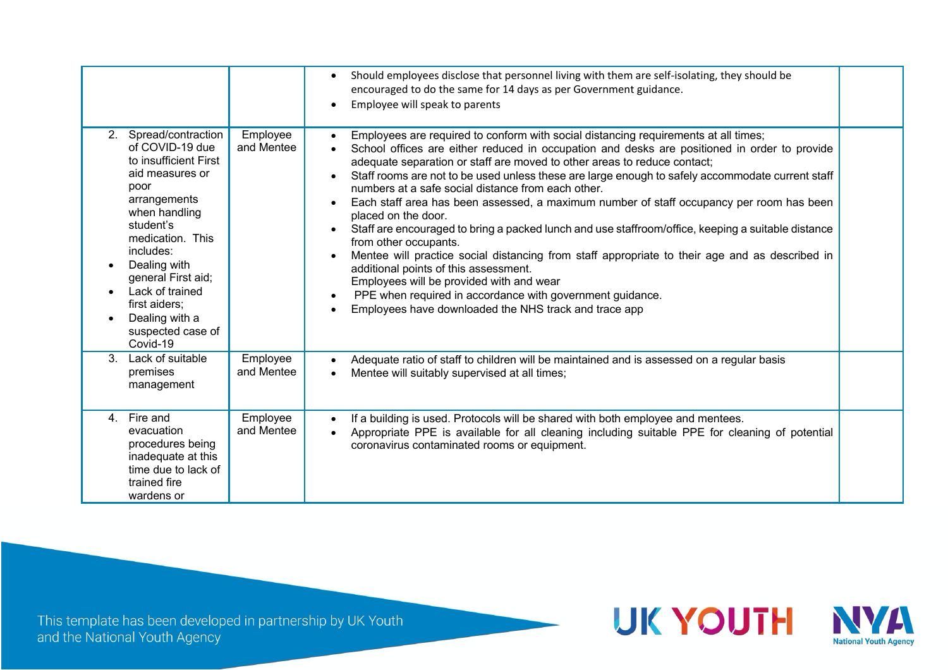|                                                                                                                                                                                                                                                                                                          |                        | Should employees disclose that personnel living with them are self-isolating, they should be<br>$\bullet$<br>encouraged to do the same for 14 days as per Government guidance.<br>Employee will speak to parents<br>$\bullet$                                                                                                                                                                                                                                                                                                                                                                                                                                                                                                                                                                                                                                                                                                                                                                                      |  |
|----------------------------------------------------------------------------------------------------------------------------------------------------------------------------------------------------------------------------------------------------------------------------------------------------------|------------------------|--------------------------------------------------------------------------------------------------------------------------------------------------------------------------------------------------------------------------------------------------------------------------------------------------------------------------------------------------------------------------------------------------------------------------------------------------------------------------------------------------------------------------------------------------------------------------------------------------------------------------------------------------------------------------------------------------------------------------------------------------------------------------------------------------------------------------------------------------------------------------------------------------------------------------------------------------------------------------------------------------------------------|--|
| 2. Spread/contraction<br>of COVID-19 due<br>to insufficient First<br>aid measures or<br>poor<br>arrangements<br>when handling<br>student's<br>medication. This<br>includes:<br>Dealing with<br>general First aid;<br>Lack of trained<br>first aiders;<br>Dealing with a<br>suspected case of<br>Covid-19 | Employee<br>and Mentee | Employees are required to conform with social distancing requirements at all times;<br>School offices are either reduced in occupation and desks are positioned in order to provide<br>adequate separation or staff are moved to other areas to reduce contact;<br>Staff rooms are not to be used unless these are large enough to safely accommodate current staff<br>numbers at a safe social distance from each other.<br>Each staff area has been assessed, a maximum number of staff occupancy per room has been<br>$\bullet$<br>placed on the door.<br>Staff are encouraged to bring a packed lunch and use staffroom/office, keeping a suitable distance<br>$\bullet$<br>from other occupants.<br>Mentee will practice social distancing from staff appropriate to their age and as described in<br>additional points of this assessment.<br>Employees will be provided with and wear<br>PPE when required in accordance with government guidance.<br>Employees have downloaded the NHS track and trace app |  |
| Lack of suitable<br>3.<br>premises<br>management                                                                                                                                                                                                                                                         | Employee<br>and Mentee | Adequate ratio of staff to children will be maintained and is assessed on a regular basis<br>Mentee will suitably supervised at all times;                                                                                                                                                                                                                                                                                                                                                                                                                                                                                                                                                                                                                                                                                                                                                                                                                                                                         |  |
| Fire and<br>4.<br>evacuation<br>procedures being<br>inadequate at this<br>time due to lack of<br>trained fire<br>wardens or                                                                                                                                                                              | Employee<br>and Mentee | If a building is used. Protocols will be shared with both employee and mentees.<br>Appropriate PPE is available for all cleaning including suitable PPE for cleaning of potential<br>coronavirus contaminated rooms or equipment.                                                                                                                                                                                                                                                                                                                                                                                                                                                                                                                                                                                                                                                                                                                                                                                  |  |

This template has been developed in partnership by UK Youth<br>and the National Youth Agency